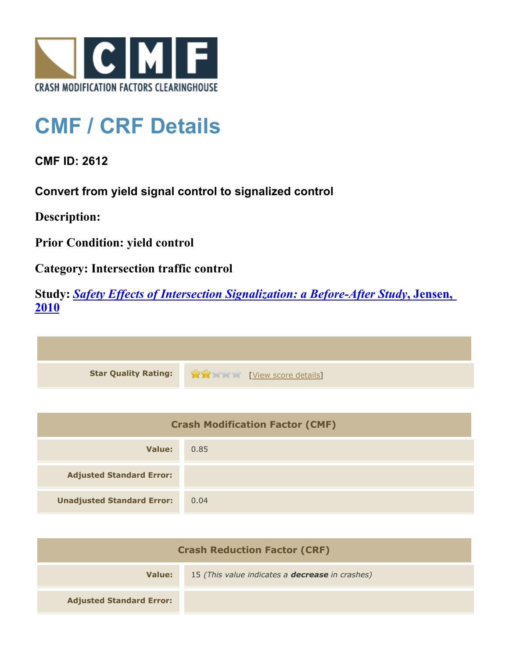

## **CMF / CRF Details**

**CMF ID: 2612**

**Convert from yield signal control to signalized control**

**Description:** 

**Prior Condition: yield control**

**Category: Intersection traffic control**

**Study:** *[Safety Effects of Intersection Signalization: a Before-After Study](http://www.cmfclearinghouse.org/study_detail.cfm?stid=170)***[, Jensen,](http://www.cmfclearinghouse.org/study_detail.cfm?stid=170) [2010](http://www.cmfclearinghouse.org/study_detail.cfm?stid=170)**



| <b>Crash Modification Factor (CMF)</b> |      |
|----------------------------------------|------|
| Value:                                 | 0.85 |
| <b>Adjusted Standard Error:</b>        |      |
| <b>Unadjusted Standard Error:</b>      | 0.04 |

| <b>Crash Reduction Factor (CRF)</b> |                                                        |
|-------------------------------------|--------------------------------------------------------|
| Value:                              | 15 (This value indicates a <b>decrease</b> in crashes) |
| <b>Adjusted Standard Error:</b>     |                                                        |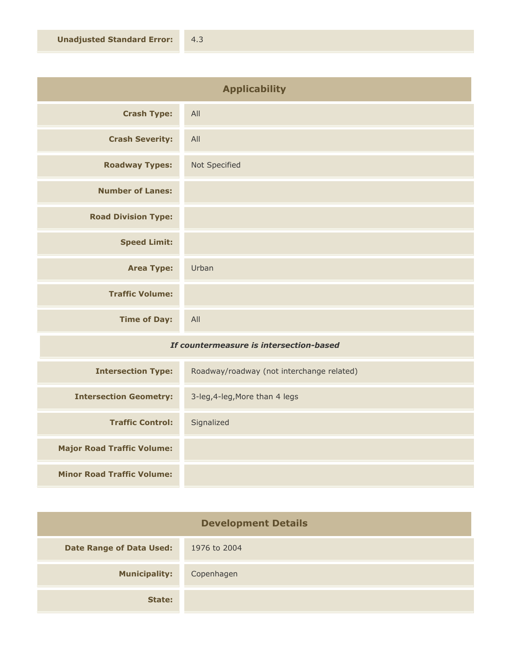| <b>Applicability</b>       |               |
|----------------------------|---------------|
| <b>Crash Type:</b>         | All           |
| <b>Crash Severity:</b>     | All           |
| <b>Roadway Types:</b>      | Not Specified |
| <b>Number of Lanes:</b>    |               |
| <b>Road Division Type:</b> |               |
| <b>Speed Limit:</b>        |               |
| <b>Area Type:</b>          | Urban         |
| <b>Traffic Volume:</b>     |               |
| <b>Time of Day:</b>        | All           |
|                            |               |

## *If countermeasure is intersection-based*

| <b>Intersection Type:</b>         | Roadway/roadway (not interchange related) |
|-----------------------------------|-------------------------------------------|
| <b>Intersection Geometry:</b>     | 3-leg, 4-leg, More than 4 legs            |
| <b>Traffic Control:</b>           | Signalized                                |
| <b>Major Road Traffic Volume:</b> |                                           |
| <b>Minor Road Traffic Volume:</b> |                                           |

| <b>Development Details</b>      |              |
|---------------------------------|--------------|
| <b>Date Range of Data Used:</b> | 1976 to 2004 |
| <b>Municipality:</b>            | Copenhagen   |
| State:                          |              |